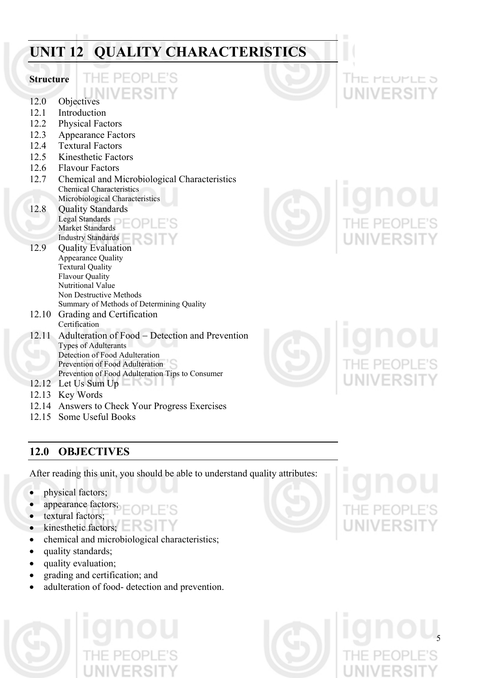# **UNIT 12 QUALITY CHARACTERISTICS**

# **Structure**

- 12.0 Objectives
- 12.1 Introduction
- 12.2 Physical Factors
- 12.3 Appearance Factors
- 12.4 Textural Factors
- 12.5 Kinesthetic Factors
- 12.6 Flavour Factors
- 12.7 Chemical and Microbiological Characteristics Chemical Characteristics Microbiological Characteristics
- 12.8 Quality Standards Legal Standards

 Market Standards Industry Standards

- 12.9 Quality Evaluation Appearance Quality Textural Quality Flavour Quality Nutritional Value Non Destructive Methods Summary of Methods of Determining Quality
- 12.10 Grading and Certification Certification
- 12.11 Adulteration of Food − Detection and Prevention Types of Adulterants Detection of Food Adulteration Prevention of Food Adulteration Prevention of Food Adulteration Tips to Consumer
- 12.12 Let Us Sum Up
- 12.13 Key Words
- 12.14 Answers to Check Your Progress Exercises
- 12.15 Some Useful Books

# **12.0 OBJECTIVES**

After reading this unit, you should be able to understand quality attributes:

- physical factors;
- appearance factors;
- textural factors;
- kinesthetic factors;
- chemical and microbiological characteristics;
- quality standards;
- quality evaluation;
- grading and certification; and
- adulteration of food- detection and prevention.





5







I HE PEUPLE 5 NIVERSI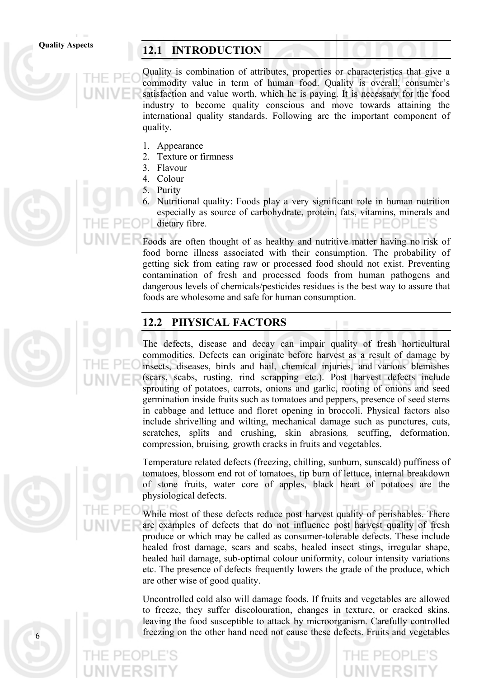# Quality Aspects **12.1 INTRODUCTION**

Quality is combination of attributes, properties or characteristics that give a commodity value in term of human food. Quality is overall, consumer's satisfaction and value worth, which he is paying. It is necessary for the food industry to become quality conscious and move towards attaining the international quality standards. Following are the important component of quality.

- 1. Appearance
- 2. Texture or firmness
- 3. Flavour
- 4. Colour
- 5. Purity
- 6. Nutritional quality: Foods play a very significant role in human nutrition especially as source of carbohydrate, protein, fats, vitamins, minerals and dietary fibre. T H H  $P = 0P$

Foods are often thought of as healthy and nutritive matter having no risk of food borne illness associated with their consumption. The probability of getting sick from eating raw or processed food should not exist. Preventing contamination of fresh and processed foods from human pathogens and dangerous levels of chemicals/pesticides residues is the best way to assure that foods are wholesome and safe for human consumption.

# **12.2 PHYSICAL FACTORS**

The defects, disease and decay can impair quality of fresh horticultural commodities. Defects can originate before harvest as a result of damage by insects, diseases, birds and hail, chemical injuries, and various blemishes (scars, scabs, rusting, rind scrapping etc.). Post harvest defects include sprouting of potatoes, carrots, onions and garlic, rooting of onions and seed germination inside fruits such as tomatoes and peppers, presence of seed stems in cabbage and lettuce and floret opening in broccoli. Physical factors also include shrivelling and wilting, mechanical damage such as punctures, cuts, scratches, splits and crushing, skin abrasions*,* scuffing, deformation, compression, bruising*,* growth cracks in fruits and vegetables.

Temperature related defects (freezing, chilling, sunburn, sunscald) puffiness of tomatoes, blossom end rot of tomatoes, tip burn of lettuce, internal breakdown of stone fruits, water core of apples, black heart of potatoes are the physiological defects.

While most of these defects reduce post harvest quality of perishables. There are examples of defects that do not influence post harvest quality of fresh produce or which may be called as consumer-tolerable defects. These include healed frost damage, scars and scabs, healed insect stings, irregular shape, healed hail damage, sub-optimal colour uniformity, colour intensity variations etc. The presence of defects frequently lowers the grade of the produce, which are other wise of good quality.

Uncontrolled cold also will damage foods. If fruits and vegetables are allowed to freeze, they suffer discolouration, changes in texture, or cracked skins, leaving the food susceptible to attack by microorganism. Carefully controlled freezing on the other hand need not cause these defects. Fruits and vegetables





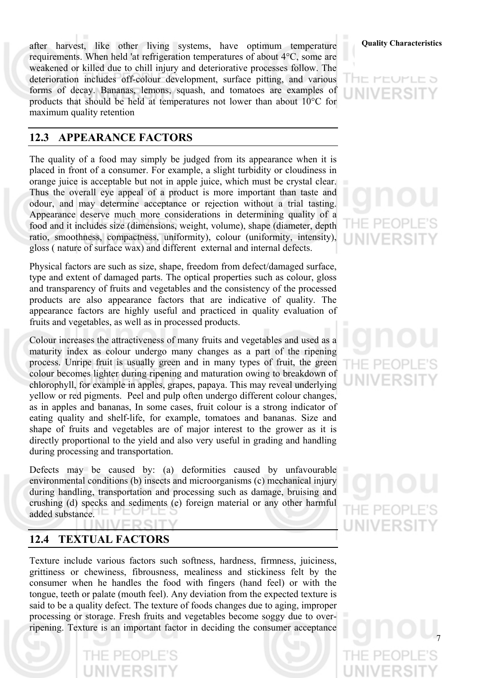after harvest, like other living systems, have optimum temperature **Quality Characteristics** requirements. When held 'at refrigeration temperatures of about 4°C, some are weakened or killed due to chill injury and deteriorative processes follow. The deterioration includes off-colour development, surface pitting, and various forms of decay. Bananas, lemons, squash, and tomatoes are examples of products that should be held at temperatures not lower than about 10°C for maximum quality retention

# **12.3 APPEARANCE FACTORS**

The quality of a food may simply be judged from its appearance when it is placed in front of a consumer. For example, a slight turbidity or cloudiness in orange juice is acceptable but not in apple juice, which must be crystal clear. Thus the overall eye appeal of a product is more important than taste and odour, and may determine acceptance or rejection without a trial tasting. Appearance deserve much more considerations in determining quality of a food and it includes size (dimensions, weight, volume), shape (diameter, depth ratio, smoothness, compactness, uniformity), colour (uniformity, intensity), gloss ( nature of surface wax) and different external and internal defects.

Physical factors are such as size, shape, freedom from defect/damaged surface, type and extent of damaged parts. The optical properties such as colour, gloss and transparency of fruits and vegetables and the consistency of the processed products are also appearance factors that are indicative of quality. The appearance factors are highly useful and practiced in quality evaluation of fruits and vegetables, as well as in processed products.

Colour increases the attractiveness of many fruits and vegetables and used as a maturity index as colour undergo many changes as a part of the ripening process. Unripe fruit is usually green and in many types of fruit, the green colour becomes lighter during ripening and maturation owing to breakdown of chlorophyll, for example in apples, grapes, papaya. This may reveal underlying yellow or red pigments. Peel and pulp often undergo different colour changes, as in apples and bananas, In some cases, fruit colour is a strong indicator of eating quality and shelf-life, for example, tomatoes and bananas. Size and shape of fruits and vegetables are of major interest to the grower as it is directly proportional to the yield and also very useful in grading and handling during processing and transportation.

Defects may be caused by: (a) deformities caused by unfavourable environmental conditions (b) insects and microorganisms (c) mechanical injury during handling, transportation and processing such as damage, bruising and crushing (d) specks and sediments (e) foreign material or any other harmful added substance.

# **12.4 TEXTUAL FACTORS**

PEOPL

Texture include various factors such softness, hardness, firmness, juiciness, grittiness or chewiness, fibrousness, mealiness and stickiness felt by the consumer when he handles the food with fingers (hand feel) or with the tongue, teeth or palate (mouth feel). Any deviation from the expected texture is said to be a quality defect. The texture of foods changes due to aging, improper processing or storage. Fresh fruits and vegetables become soggy due to overripening. Texture is an important factor in deciding the consumer acceptance



エ ビロリビ ヒっ

# – PF(

HF PFOI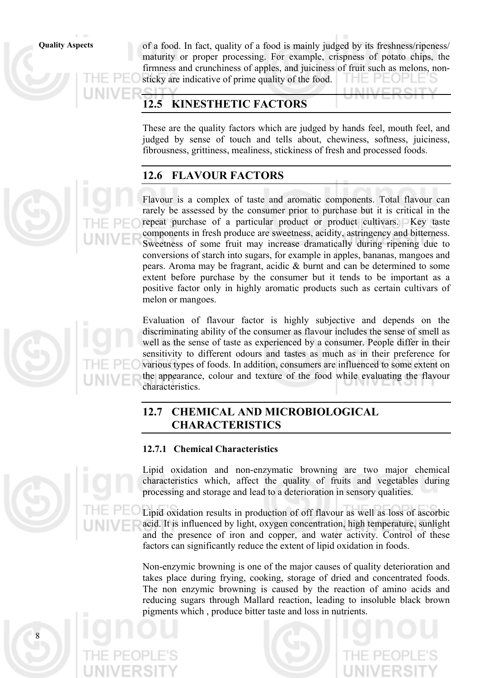**Quality Aspects** of a food. In fact, quality of a food is mainly judged by its freshness/ripeness/ maturity or proper processing. For example, crispness of potato chips, the firmness and crunchiness of apples, and juiciness of fruit such as melons, nonsticky are indicative of prime quality of the food.

# **12.5 KINESTHETIC FACTORS**

These are the quality factors which are judged by hands feel, mouth feel, and judged by sense of touch and tells about, chewiness, softness, juiciness, fibrousness, grittiness, mealiness, stickiness of fresh and processed foods.

# **12.6 FLAVOUR FACTORS**

Flavour is a complex of taste and aromatic components. Total flavour can rarely be assessed by the consumer prior to purchase but it is critical in the repeat purchase of a particular product or product cultivars. Key taste components in fresh produce are sweetness, acidity, astringency and bitterness. Sweetness of some fruit may increase dramatically during ripening due to conversions of starch into sugars, for example in apples, bananas, mangoes and pears. Aroma may be fragrant, acidic & burnt and can be determined to some extent before purchase by the consumer but it tends to be important as a positive factor only in highly aromatic products such as certain cultivars of melon or mangoes.

8

Evaluation of flavour factor is highly subjective and depends on the discriminating ability of the consumer as flavour includes the sense of smell as well as the sense of taste as experienced by a consumer. People differ in their sensitivity to different odours and tastes as much as in their preference for various types of foods. In addition, consumers are influenced to some extent on the appearance, colour and texture of the food while evaluating the flavour characteristics.

# **12.7 CHEMICAL AND MICROBIOLOGICAL CHARACTERISTICS**

# **12.7.1 Chemical Characteristics**

Lipid oxidation and non-enzymatic browning are two major chemical characteristics which, affect the quality of fruits and vegetables during processing and storage and lead to a deterioration in sensory qualities.

Lipid oxidation results in production of off flavour as well as loss of ascorbic acid. It is influenced by light, oxygen concentration, high temperature, sunlight and the presence of iron and copper, and water activity. Control of these factors can significantly reduce the extent of lipid oxidation in foods.

Non-enzymic browning is one of the major causes of quality deterioration and takes place during frying, cooking, storage of dried and concentrated foods. The non enzymic browning is caused by the reaction of amino acids and reducing sugars through Mallard reaction, leading to insoluble black brown pigments which , produce bitter taste and loss in nutrients.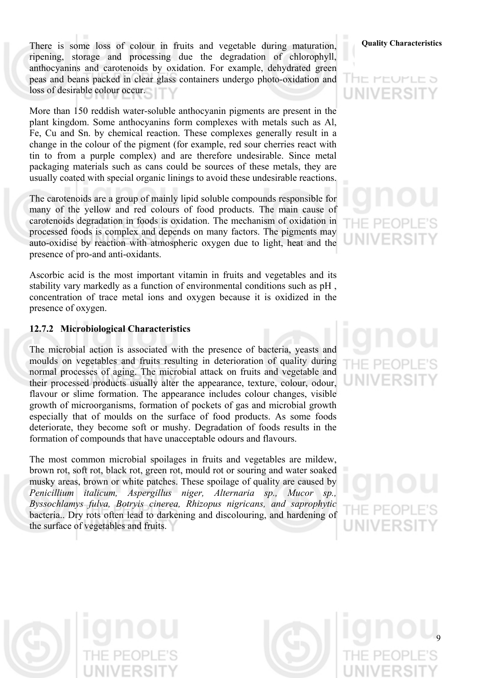There is some loss of colour in fruits and vegetable during maturation, **Quality Characteristics** ripening, storage and processing due the degradation of chlorophyll, anthocyanins and carotenoids by oxidation. For example, dehydrated green peas and beans packed in clear glass containers undergo photo-oxidation and loss of desirable colour occur.

More than 150 reddish water-soluble anthocyanin pigments are present in the plant kingdom. Some anthocyanins form complexes with metals such as Al, Fe, Cu and Sn. by chemical reaction. These complexes generally result in a change in the colour of the pigment (for example, red sour cherries react with tin to from a purple complex) and are therefore undesirable. Since metal packaging materials such as cans could be sources of these metals, they are usually coated with special organic linings to avoid these undesirable reactions.

The carotenoids are a group of mainly lipid soluble compounds responsible for many of the yellow and red colours of food products. The main cause of carotenoids degradation in foods is oxidation. The mechanism of oxidation in processed foods is complex and depends on many factors. The pigments may auto-oxidise by reaction with atmospheric oxygen due to light, heat and the presence of pro-and anti-oxidants.

Ascorbic acid is the most important vitamin in fruits and vegetables and its stability vary markedly as a function of environmental conditions such as pH , concentration of trace metal ions and oxygen because it is oxidized in the presence of oxygen.

# **12.7.2 Microbiological Characteristics**

The microbial action is associated with the presence of bacteria, yeasts and moulds on vegetables and fruits resulting in deterioration of quality during normal processes of aging. The microbial attack on fruits and vegetable and their processed products usually alter the appearance, texture, colour, odour, flavour or slime formation. The appearance includes colour changes, visible growth of microorganisms, formation of pockets of gas and microbial growth especially that of moulds on the surface of food products. As some foods deteriorate, they become soft or mushy. Degradation of foods results in the formation of compounds that have unacceptable odours and flavours.

The most common microbial spoilages in fruits and vegetables are mildew, brown rot, soft rot, black rot, green rot, mould rot or souring and water soaked musky areas, brown or white patches. These spoilage of quality are caused by *Penicillium italicum, Aspergillus niger, Alternaria sp., Mucor sp., Byssochlamys fulva, Botryis cinerea, Rhizopus nigricans, and saprophytic*  bacteria.. Dry rots often lead to darkening and discolouring, and hardening of the surface of vegetables and fruits.

# l he peuple a **UNIVERSIT**

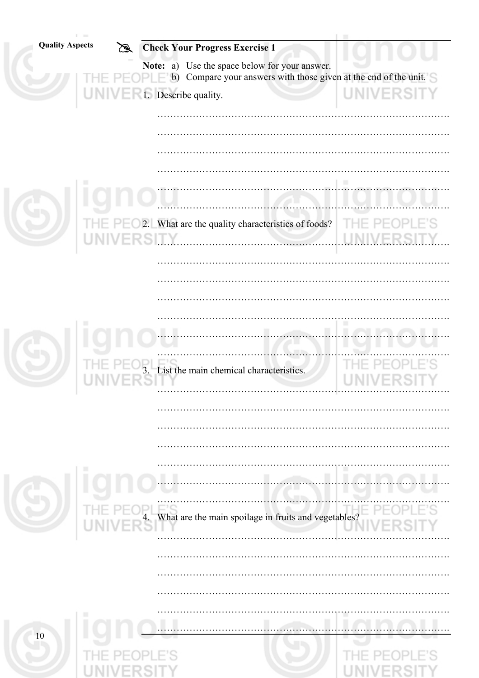| <b>Quality Aspects</b> | $\mathbb{Z}$      | <b>Check Your Progress Exercise 1</b>                                                                                   |                   |
|------------------------|-------------------|-------------------------------------------------------------------------------------------------------------------------|-------------------|
|                        |                   | Use the space below for your answer.<br>Note: a)<br>Compare your answers with those given at the end of the unit.<br>b) |                   |
|                        |                   |                                                                                                                         | <b>UNIVERSITY</b> |
|                        |                   |                                                                                                                         |                   |
|                        |                   |                                                                                                                         |                   |
|                        |                   |                                                                                                                         |                   |
|                        |                   |                                                                                                                         |                   |
|                        |                   |                                                                                                                         |                   |
|                        |                   |                                                                                                                         |                   |
|                        |                   |                                                                                                                         | Tŀ<br>1E.         |
|                        | <b>UNIVERSITY</b> |                                                                                                                         |                   |
|                        |                   |                                                                                                                         |                   |
|                        |                   |                                                                                                                         |                   |
|                        |                   |                                                                                                                         |                   |
|                        |                   |                                                                                                                         |                   |
|                        |                   |                                                                                                                         |                   |
|                        |                   |                                                                                                                         |                   |
|                        |                   | List the main chemical characteristics.                                                                                 |                   |
|                        |                   |                                                                                                                         |                   |
|                        |                   |                                                                                                                         |                   |
|                        |                   |                                                                                                                         |                   |
|                        |                   |                                                                                                                         |                   |
|                        | ш                 |                                                                                                                         |                   |
|                        |                   |                                                                                                                         |                   |
|                        |                   |                                                                                                                         |                   |
|                        |                   | 4. What are the main spoilage in fruits and vegetables?                                                                 |                   |
|                        |                   |                                                                                                                         |                   |
|                        |                   |                                                                                                                         |                   |
|                        |                   |                                                                                                                         |                   |
|                        |                   |                                                                                                                         |                   |
|                        |                   |                                                                                                                         |                   |
| 10                     |                   |                                                                                                                         |                   |
|                        |                   |                                                                                                                         |                   |
|                        |                   |                                                                                                                         |                   |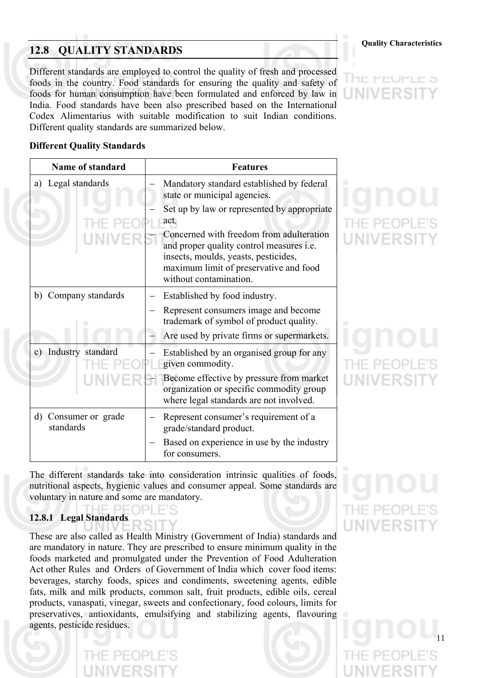# **Quality Characteristics Quality Characteristics**

Different standards are employed to control the quality of fresh and processed foods in the country. Food standards for ensuring the quality and safety of foods for human consumption have been formulated and enforced by law in India. Food standards have been also prescribed based on the International Codex Alimentarius with suitable modification to suit Indian conditions. Different quality standards are summarized below.



# **Different Quality Standards**

| <b>Name of standard</b>                        | <b>Features</b>                                                                                                                                                                                         |
|------------------------------------------------|---------------------------------------------------------------------------------------------------------------------------------------------------------------------------------------------------------|
| Legal standards<br>a)                          | Mandatory standard established by federal<br>state or municipal agencies.                                                                                                                               |
|                                                | Set up by law or represented by appropriate<br>act.                                                                                                                                                     |
|                                                | Concerned with freedom from adulteration<br>and proper quality control measures <i>i.e.</i><br>insects, moulds, yeasts, pesticides,<br>maximum limit of preservative and food<br>without contamination. |
| Company standards<br>b)                        | Established by food industry.                                                                                                                                                                           |
|                                                | Represent consumers image and become<br>trademark of symbol of product quality.                                                                                                                         |
|                                                | Are used by private firms or supermarkets.                                                                                                                                                              |
| c) Industry standard                           | Established by an organised group for any<br>given commodity.                                                                                                                                           |
|                                                | Become effective by pressure from market<br>organization or specific commodity group<br>where legal standards are not involved.                                                                         |
| Consumer or grade<br>$\mathbf{d}$<br>standards | Represent consumer's requirement of a<br>grade/standard product.                                                                                                                                        |
|                                                | Based on experience in use by the industry<br>for consumers.                                                                                                                                            |

The different standards take into consideration intrinsic qualities of foods, nutritional aspects, hygienic values and consumer appeal. Some standards are voluntary in nature and some are mandatory. HE PE

# **12.8.1 Legal Standards**

These are also called as Health Ministry (Government of India) standards and are mandatory in nature. They are prescribed to ensure minimum quality in the foods marketed and promulgated under the Prevention of Food Adulteration Act other Rules and Orders of Government of India which cover food items: beverages, starchy foods, spices and condiments, sweetening agents, edible fats, milk and milk products, common salt, fruit products, edible oils, cereal products, vanaspati, vinegar, sweets and confectionary, food colours, limits for preservatives, antioxidants, emulsifying and stabilizing agents, flavouring agents, pesticide residues.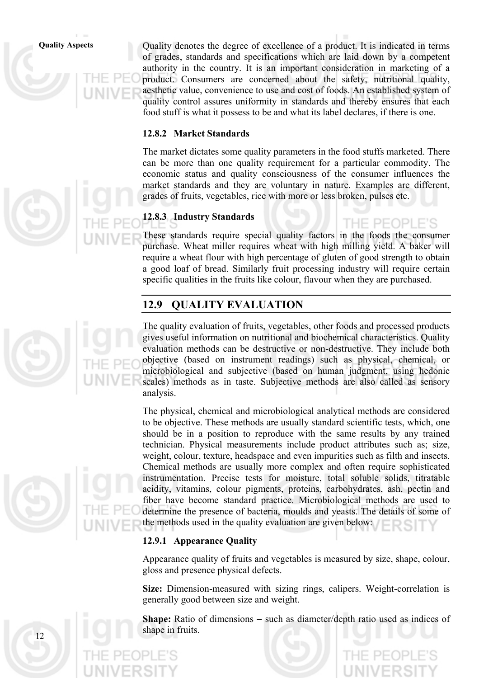**Quality Aspects** Quality denotes the degree of excellence of a product. It is indicated in terms of grades, standards and specifications which are laid down by a competent authority in the country. It is an important consideration in marketing of a product. Consumers are concerned about the safety, nutritional quality, aesthetic value, convenience to use and cost of foods. An established system of quality control assures uniformity in standards and thereby ensures that each food stuff is what it possess to be and what its label declares, if there is one.

# **12.8.2 Market Standards**

The market dictates some quality parameters in the food stuffs marketed. There can be more than one quality requirement for a particular commodity. The economic status and quality consciousness of the consumer influences the market standards and they are voluntary in nature. Examples are different, grades of fruits, vegetables, rice with more or less broken, pulses etc.

# **12.8.3 Industry Standards**

These standards require special quality factors in the foods the consumer purchase. Wheat miller requires wheat with high milling yield. A baker will require a wheat flour with high percentage of gluten of good strength to obtain a good loaf of bread. Similarly fruit processing industry will require certain specific qualities in the fruits like colour, flavour when they are purchased.

# **12.9 QUALITY EVALUATION**

The quality evaluation of fruits, vegetables, other foods and processed products gives useful information on nutritional and biochemical characteristics. Quality evaluation methods can be destructive or non-destructive. They include both objective (based on instrument readings) such as physical, chemical, or microbiological and subjective (based on human judgment, using hedonic scales) methods as in taste. Subjective methods are also called as sensory analysis.

The physical, chemical and microbiological analytical methods are considered to be objective. These methods are usually standard scientific tests, which, one should be in a position to reproduce with the same results by any trained technician. Physical measurements include product attributes such as; size, weight, colour, texture, headspace and even impurities such as filth and insects. Chemical methods are usually more complex and often require sophisticated instrumentation. Precise tests for moisture, total soluble solids, titratable acidity, vitamins, colour pigments, proteins, carbohydrates, ash, pectin and fiber have become standard practice. Microbiological methods are used to determine the presence of bacteria, moulds and yeasts. The details of some of the methods used in the quality evaluation are given below:

# **12.9.1 Appearance Quality**

Appearance quality of fruits and vegetables is measured by size, shape, colour, gloss and presence physical defects.

**Size:** Dimension-measured with sizing rings, calipers. Weight-correlation is generally good between size and weight.

**Shape:** Ratio of dimensions − such as diameter/depth ratio used as indices of shape in fruits.

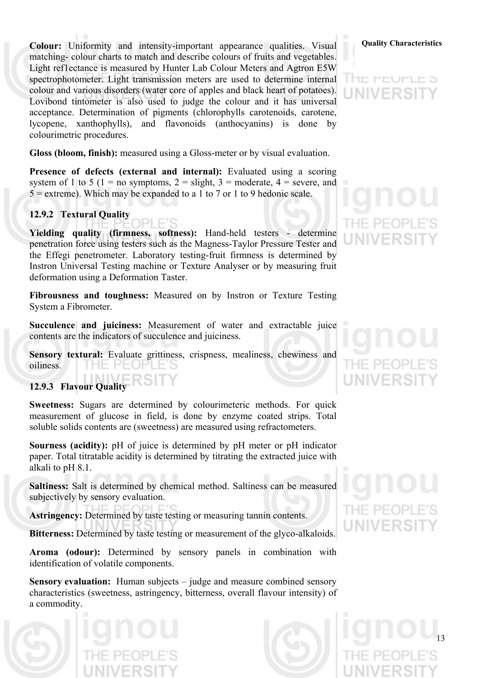**Colour:** Uniformity and intensity-important appearance qualities. Visual **Quality Characteristics** matching- colour charts to match and describe colours of fruits and vegetables. Light ref1ectance is measured by Hunter Lab Colour Meters and Agtron E5W spectrophotometer. Light transmission meters are used to determine internal colour and various disorders (water core of apples and black heart of potatoes). Lovibond tintometer is also used to judge the colour and it has universal acceptance. Determination of pigments (chlorophylls carotenoids, carotene, lycopene, xanthophylls), and flavonoids (anthocyanins) is done by colourimetric procedures.

**Gloss (bloom, finish):** measured using a Gloss-meter or by visual evaluation.

**Presence of defects (external and internal):** Evaluated using a scoring system of 1 to 5 (1 = no symptoms, 2 = slight, 3 = moderate, 4 = severe, and  $5 =$  extreme). Which may be expanded to a 1 to 7 or 1 to 9 hedonic scale.

# **12.9.2 Textural Quality**

**Yielding quality (firmness, softness):** Hand-held testers - determine penetration force using testers such as the Magness-Taylor Pressure Tester and the Effegi penetrometer. Laboratory testing-fruit firmness is determined by Instron Universal Testing machine or Texture Analyser or by measuring fruit deformation using a Deformation Taster.

**Fibrousness and toughness:** Measured on by Instron or Texture Testing System a Fibrometer.

**Succulence and juiciness:** Measurement of water and extractable juice contents are the indicators of succulence and juiciness.

Sensory textural: Evaluate grittiness, crispness, mealiness, chewiness and oiliness.  $H = PL$ 

# **12.9.3 Flavour Quality**

**Sweetness:** Sugars are determined by colourimeteric methods. For quick measurement of glucose in field, is done by enzyme coated strips. Total soluble solids contents are (sweetness) are measured using refractometers.

**Sourness (acidity):** pH of juice is determined by pH meter or pH indicator paper. Total titratable acidity is determined by titrating the extracted juice with alkali to pH 8.1.

**Saltiness:** Salt is determined by chemical method. Saltiness can be measured subjectively by sensory evaluation.

**Astringency:** Determined by taste testing or measuring tannin contents.

**Bitterness:** Determined by taste testing or measurement of the glyco-alkaloids.

**Aroma (odour):** Determined by sensory panels in combination with identification of volatile components.

**Sensory evaluation:** Human subjects – judge and measure combined sensory characteristics (sweetness, astringency, bitterness, overall flavour intensity) of a commodity.



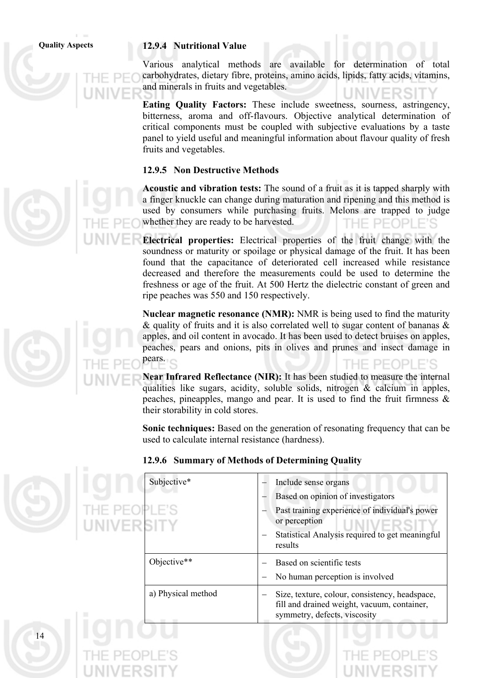# **Quality Aspects 12.9.4 Nutritional Value**

Various analytical methods are available for determination of total carbohydrates, dietary fibre, proteins, amino acids, lipids, fatty acids, vitamins, and minerals in fruits and vegetables.

**Eating Quality Factors:** These include sweetness, sourness, astringency, bitterness, aroma and off-flavours. Objective analytical determination of critical components must be coupled with subjective evaluations by a taste panel to yield useful and meaningful information about flavour quality of fresh fruits and vegetables.

# **12.9.5 Non Destructive Methods**

**Acoustic and vibration tests:** The sound of a fruit as it is tapped sharply with a finger knuckle can change during maturation and ripening and this method is used by consumers while purchasing fruits. Melons are trapped to judge whether they are ready to be harvested. THE PEOPLE'S

**Electrical properties:** Electrical properties of the fruit change with the soundness or maturity or spoilage or physical damage of the fruit. It has been found that the capacitance of deteriorated cell increased while resistance decreased and therefore the measurements could be used to determine the freshness or age of the fruit. At 500 Hertz the dielectric constant of green and ripe peaches was 550 and 150 respectively.

**Nuclear magnetic resonance (NMR):** NMR is being used to find the maturity & quality of fruits and it is also correlated well to sugar content of bananas & apples, and oil content in avocado. It has been used to detect bruises on apples, peaches, pears and onions, pits in olives and prunes and insect damage in pears.

**Near Infrared Reflectance (NIR):** It has been studied to measure the internal qualities like sugars, acidity, soluble solids, nitrogen & calcium in apples, peaches, pineapples, mango and pear. It is used to find the fruit firmness & their storability in cold stores.

**Sonic techniques:** Based on the generation of resonating frequency that can be used to calculate internal resistance (hardness).

|                            | Subjective*        | Include sense organs                                                                                                          |
|----------------------------|--------------------|-------------------------------------------------------------------------------------------------------------------------------|
|                            |                    | Based on opinion of investigators                                                                                             |
| THE PEOPLE'S<br>UNIVERSITY |                    | Past training experience of individual's power<br>or perception                                                               |
|                            |                    | Statistical Analysis required to get meaningful<br>results                                                                    |
|                            | Objective**        | Based on scientific tests                                                                                                     |
|                            |                    | No human perception is involved                                                                                               |
|                            | a) Physical method | Size, texture, colour, consistency, headspace,<br>fill and drained weight, vacuum, container,<br>symmetry, defects, viscosity |
|                            |                    |                                                                                                                               |

## **12.9.6 Summary of Methods of Determining Quality**

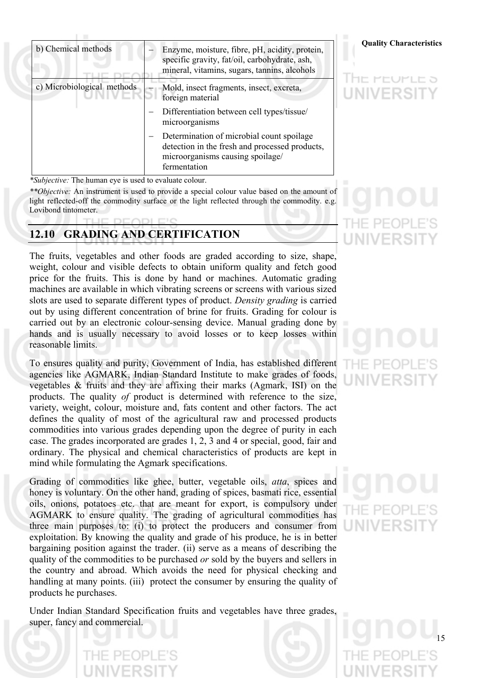| b) Chemical methods        | Enzyme, moisture, fibre, pH, acidity, protein,<br>specific gravity, fat/oil, carbohydrate, ash,<br>mineral, vitamins, sugars, tannins, alcohols |
|----------------------------|-------------------------------------------------------------------------------------------------------------------------------------------------|
| c) Microbiological methods | Mold, insect fragments, insect, excreta,<br>foreign material                                                                                    |
|                            | Differentiation between cell types/tissue/<br>microorganisms                                                                                    |
|                            | Determination of microbial count spoilage<br>detection in the fresh and processed products,<br>microorganisms causing spoilage/<br>fermentation |

*\*Subjective:* The human eye is used to evaluate colour.

к

*\*\*Objective:* An instrument is used to provide a special colour value based on the amount of light reflected-off the commodity surface or the light reflected through the commodity. e.g. Lovibond tintometer.

# **12.10 GRADING AND CERTIFICATION**

The fruits, vegetables and other foods are graded according to size, shape, weight, colour and visible defects to obtain uniform quality and fetch good price for the fruits. This is done by hand or machines. Automatic grading machines are available in which vibrating screens or screens with various sized slots are used to separate different types of product. *Density grading* is carried out by using different concentration of brine for fruits. Grading for colour is carried out by an electronic colour-sensing device. Manual grading done by hands and is usually necessary to avoid losses or to keep losses within reasonable limits.

To ensures quality and purity, Government of India, has established different agencies like AGMARK, Indian Standard Institute to make grades of foods, vegetables & fruits and they are affixing their marks (Agmark, ISI) on the products. The quality *of* product is determined with reference to the size, variety, weight, colour, moisture and, fats content and other factors. The act defines the quality of most of the agricultural raw and processed products commodities into various grades depending upon the degree of purity in each case. The grades incorporated are grades 1, 2, 3 and 4 or special, good, fair and ordinary. The physical and chemical characteristics of products are kept in mind while formulating the Agmark specifications.

Grading of commodities like ghee, butter, vegetable oils, *atta*, spices and honey is voluntary. On the other hand, grading of spices, basmati rice, essential oils, onions, potatoes etc. that are meant for export, is compulsory under AGMARK to ensure quality. The grading of agricultural commodities has three main purposes to: (i) to protect the producers and consumer from exploitation. By knowing the quality and grade of his produce, he is in better bargaining position against the trader. (ii) serve as a means of describing the quality of the commodities to be purchased *or* sold by the buyers and sellers in the country and abroad. Which avoids the need for physical checking and handling at many points. (iii) protect the consumer by ensuring the quality of products he purchases.

Under Indian Standard Specification fruits and vegetables have three grades, super, fancy and commercial.

## **Quality Characteristics**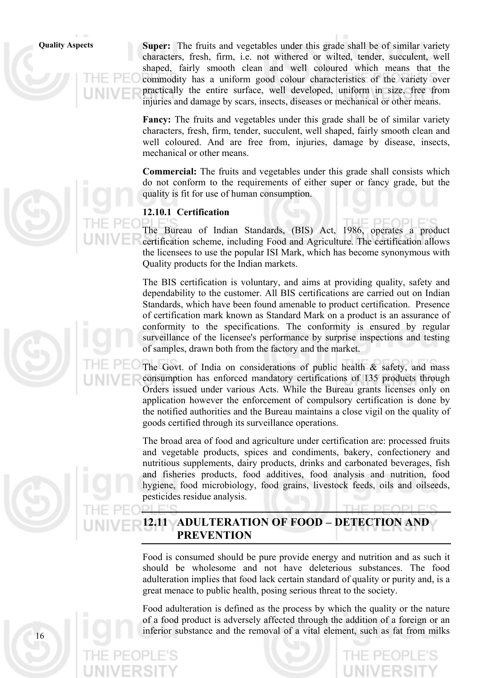**Quality Aspects Super:** The fruits and vegetables under this grade shall be of similar variety characters, fresh, firm, i.e. not withered or wilted, tender, succulent, well shaped, fairly smooth clean and well coloured which means that the commodity has a uniform good colour characteristics of the variety over practically the entire surface, well developed, uniform in size, free from injuries and damage by scars, insects, diseases or mechanical or other means.

> **Fancy:** The fruits and vegetables under this grade shall be of similar variety characters, fresh, firm, tender, succulent, well shaped, fairly smooth clean and well coloured. And are free from, injuries, damage by disease, insects, mechanical or other means.

> **Commercial:** The fruits and vegetables under this grade shall consists which do not conform to the requirements of either super or fancy grade, but the quality is fit for use of human consumption.

# **12.10.1 Certification**

The Bureau of Indian Standards, (BIS) Act, 1986, operates a product certification scheme, including Food and Agriculture. The certification allows the licensees to use the popular ISI Mark, which has become synonymous with Quality products for the Indian markets.

The BIS certification is voluntary, and aims at providing quality, safety and dependability to the customer. All BIS certifications are carried out on Indian Standards, which have been found amenable to product certification. Presence of certification mark known as Standard Mark on a product is an assurance of conformity to the specifications. The conformity is ensured by regular surveillance of the licensee's performance by surprise inspections and testing of samples, drawn both from the factory and the market.

The Govt. of India on considerations of public health  $\&$  safety, and mass consumption has enforced mandatory certifications of 135 products through Orders issued under various Acts. While the Bureau grants licenses only on application however the enforcement of compulsory certification is done by the notified authorities and the Bureau maintains a close vigil on the quality of goods certified through its surveillance operations.

The broad area of food and agriculture under certification are: processed fruits and vegetable products, spices and condiments, bakery, confectionery and nutritious supplements, dairy products, drinks and carbonated beverages, fish and fisheries products, food additives, food analysis and nutrition, food hygiene, food microbiology, food grains, livestock feeds, oils and oilseeds, pesticides residue analysis.

# **12.11 ADULTERATION OF FOOD** − **DETECTION AND PREVENTION**

Food is consumed should be pure provide energy and nutrition and as such it should be wholesome and not have deleterious substances. The food adulteration implies that food lack certain standard of quality or purity and, is a great menace to public health, posing serious threat to the society.

Food adulteration is defined as the process by which the quality or the nature of a food product is adversely affected through the addition of a foreign or an inferior substance and the removal of a vital element, such as fat from milks

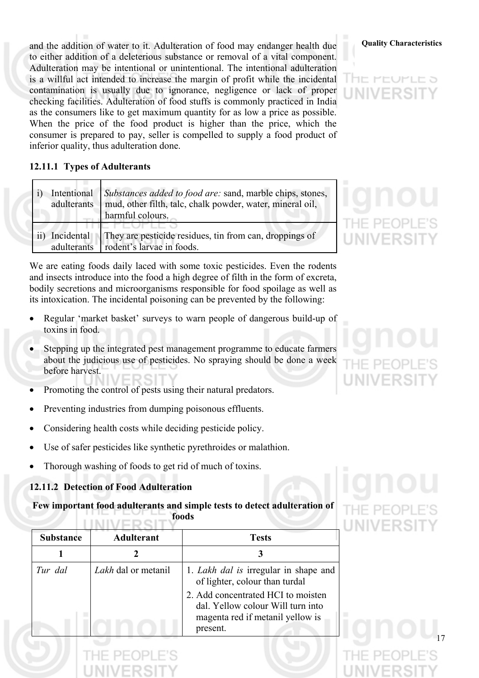**Quality Characteristics** and the addition of water to it. Adulteration of food may endanger health due to either addition of a deleterious substance or removal of a vital component. Adulteration may be intentional or unintentional. The intentional adulteration is a willful act intended to increase the margin of profit while the incidental contamination is usually due to ignorance, negligence or lack of proper checking facilities. Adulteration of food stuffs is commonly practiced in India as the consumers like to get maximum quantity for as low a price as possible. When the price of the food product is higher than the price, which the consumer is prepared to pay, seller is compelled to supply a food product of inferior quality, thus adulteration done.

# **12.11.1 Types of Adulterants**

| adulterants               | Intentional Substances added to food are: sand, marble chips, stones,<br>mud, other filth, talc, chalk powder, water, mineral oil,<br>harmful colours. |
|---------------------------|--------------------------------------------------------------------------------------------------------------------------------------------------------|
| Incidental<br>adulterants | They are pesticide residues, tin from can, droppings of<br>rodent's larvae in foods.                                                                   |

We are eating foods daily laced with some toxic pesticides. Even the rodents and insects introduce into the food a high degree of filth in the form of excreta, bodily secretions and microorganisms responsible for food spoilage as well as its intoxication. The incidental poisoning can be prevented by the following:

- Regular 'market basket' surveys to warn people of dangerous build-up of toxins in food.
- Stepping up the integrated pest management programme to educate farmers about the judicious use of pesticides. No spraying should be done a week before harvest.
- Promoting the control of pests using their natural predators.
- Preventing industries from dumping poisonous effluents.
- Considering health costs while deciding pesticide policy.
- Use of safer pesticides like synthetic pyrethroides or malathion.
- Thorough washing of foods to get rid of much of toxins.

# **12.11.2 Detection of Food Adulteration**

## **Few important food adulterants and simple tests to detect adulteration of foods IININ/CDOIT**

| <b>Substance</b> | <b>Adulterant</b>          | <b>Tests</b>                                                                                                            |
|------------------|----------------------------|-------------------------------------------------------------------------------------------------------------------------|
|                  |                            |                                                                                                                         |
| Tur dal          | <i>Lakh</i> dal or metanil | 1. Lakh dal is irregular in shape and<br>of lighter, colour than turdal                                                 |
|                  |                            | 2. Add concentrated HCI to moisten<br>dal. Yellow colour Will turn into<br>magenta red if metanil yellow is<br>present. |
|                  |                            |                                                                                                                         |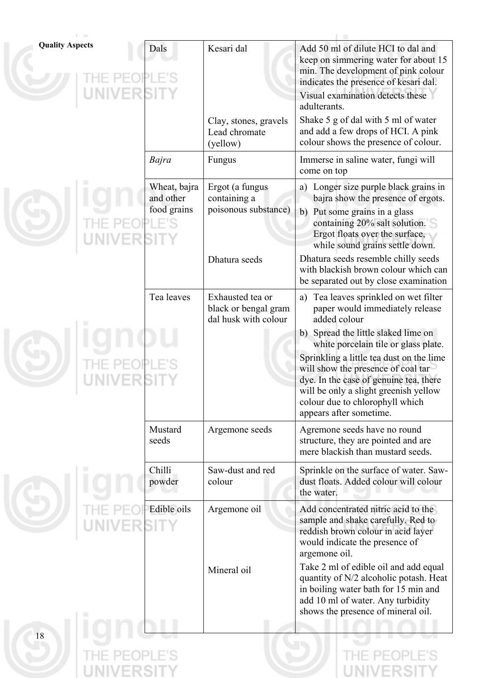| <b>Quality Aspects</b> | Dals                                     | Kesari dal<br>Clay, stones, gravels<br>Lead chromate<br>(yellow) | Add 50 ml of dilute HCI to dal and<br>keep on simmering water for about 15<br>min. The development of pink colour<br>indicates the presence of kesari dal.<br>Visual examination detects these<br>adulterants.<br>Shake 5 g of dal with 5 ml of water<br>and add a few drops of HCI. A pink<br>colour shows the presence of colour. |
|------------------------|------------------------------------------|------------------------------------------------------------------|-------------------------------------------------------------------------------------------------------------------------------------------------------------------------------------------------------------------------------------------------------------------------------------------------------------------------------------|
|                        | Bajra                                    | Fungus                                                           | Immerse in saline water, fungi will<br>come on top                                                                                                                                                                                                                                                                                  |
|                        | Wheat, bajra<br>and other<br>food grains | Ergot (a fungus<br>containing a<br>poisonous substance)          | a) Longer size purple black grains in<br>bajra show the presence of ergots.<br>b) Put some grains in a glass<br>containing 20% salt solution.<br>Ergot floats over the surface,<br>while sound grains settle down.                                                                                                                  |
|                        |                                          | Dhatura seeds                                                    | Dhatura seeds resemble chilly seeds<br>with blackish brown colour which can<br>be separated out by close examination                                                                                                                                                                                                                |
|                        | Tea leaves                               | Exhausted tea or<br>black or bengal gram<br>dal husk with colour | a) Tea leaves sprinkled on wet filter<br>paper would immediately release<br>added colour                                                                                                                                                                                                                                            |
|                        |                                          |                                                                  | b) Spread the little slaked lime on<br>white porcelain tile or glass plate.<br>Sprinkling a little tea dust on the lime<br>will show the presence of coal tar<br>dye. In the case of genuine tea, there<br>will be only a slight greenish yellow<br>colour due to chlorophyll which<br>appears after sometime.                      |
|                        | Mustard<br>seeds                         | Argemone seeds                                                   | Agremone seeds have no round<br>structure, they are pointed and are<br>mere blackish than mustard seeds.                                                                                                                                                                                                                            |
|                        | Chilli<br>powder                         | Saw-dust and red<br>colour                                       | Sprinkle on the surface of water. Saw-<br>dust floats. Added colour will colour<br>the water.                                                                                                                                                                                                                                       |
|                        | Edible oils                              | Argemone oil                                                     | Add concentrated nitric acid to the<br>sample and shake carefully. Red to<br>reddish brown colour in acid layer<br>would indicate the presence of<br>argemone oil.                                                                                                                                                                  |
|                        |                                          | Mineral oil                                                      | Take 2 ml of edible oil and add equal<br>quantity of N/2 alcoholic potash. Heat<br>in boiling water bath for 15 min and<br>add 10 ml of water. Any turbidity<br>shows the presence of mineral oil.                                                                                                                                  |
| 18                     |                                          |                                                                  |                                                                                                                                                                                                                                                                                                                                     |
|                        |                                          |                                                                  |                                                                                                                                                                                                                                                                                                                                     |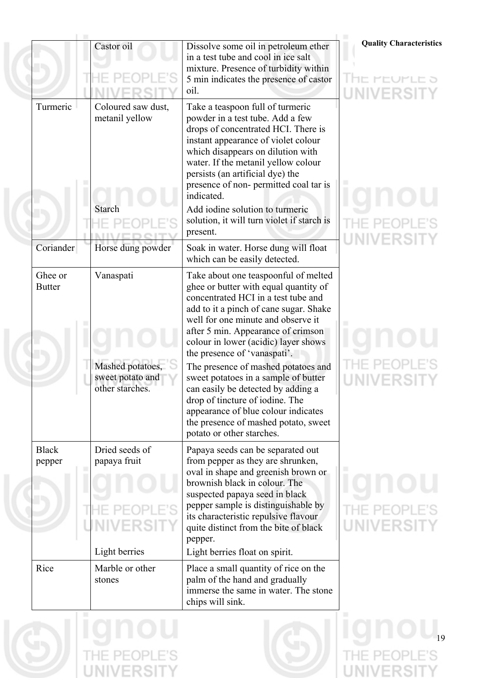|                          | Castor oil                                                           | Dissolve some oil in petroleum ether<br>in a test tube and cool in ice salt<br>mixture. Presence of turbidity within<br>5 min indicates the presence of castor<br>oil.                                                                                                                                                                                                                                                                                                                                                                                                                 |
|--------------------------|----------------------------------------------------------------------|----------------------------------------------------------------------------------------------------------------------------------------------------------------------------------------------------------------------------------------------------------------------------------------------------------------------------------------------------------------------------------------------------------------------------------------------------------------------------------------------------------------------------------------------------------------------------------------|
| Turmeric                 | Coloured saw dust,<br>metanil yellow                                 | Take a teaspoon full of turmeric<br>powder in a test tube. Add a few<br>drops of concentrated HCI. There is<br>instant appearance of violet colour<br>which disappears on dilution with<br>water. If the metanil yellow colour<br>persists (an artificial dye) the<br>presence of non-permitted coal tar is<br>indicated.                                                                                                                                                                                                                                                              |
|                          | <b>Starch</b>                                                        | Add iodine solution to turmeric<br>solution, it will turn violet if starch is<br>present.                                                                                                                                                                                                                                                                                                                                                                                                                                                                                              |
| Coriander                | Horse dung powder                                                    | Soak in water. Horse dung will float<br>which can be easily detected.                                                                                                                                                                                                                                                                                                                                                                                                                                                                                                                  |
| Ghee or<br><b>Butter</b> | Vanaspati<br>Mashed potatoes,<br>sweet potato and<br>other starches. | Take about one teaspoonful of melted<br>ghee or butter with equal quantity of<br>concentrated HCI in a test tube and<br>add to it a pinch of cane sugar. Shake<br>well for one minute and observe it<br>after 5 min. Appearance of crimson<br>colour in lower (acidic) layer shows<br>the presence of 'vanaspati'.<br>The presence of mashed potatoes and<br>sweet potatoes in a sample of butter<br>can easily be detected by adding a<br>drop of tincture of iodine. The<br>appearance of blue colour indicates<br>the presence of mashed potato, sweet<br>potato or other starches. |
| <b>Black</b><br>pepper   | Dried seeds of<br>papaya fruit<br>Light berries                      | Papaya seeds can be separated out<br>from pepper as they are shrunken,<br>oval in shape and greenish brown or<br>brownish black in colour. The<br>suspected papaya seed in black<br>pepper sample is distinguishable by<br>its characteristic repulsive flavour<br>quite distinct from the bite of black<br>pepper.<br>Light berries float on spirit.                                                                                                                                                                                                                                  |
| Rice                     | Marble or other<br>stones                                            | Place a small quantity of rice on the<br>palm of the hand and gradually<br>immerse the same in water. The stone<br>chips will sink.                                                                                                                                                                                                                                                                                                                                                                                                                                                    |

## **Quality Characteristics**

# HE MEUMLE 9 **JNIVERSITY**

# **HE PEOPLE'S JNIVERSITY**

# **HE PEOPLE'S INIVERSITY**

# **HE PEOPLE'S INIVERSITY**





THE PEOPLE'S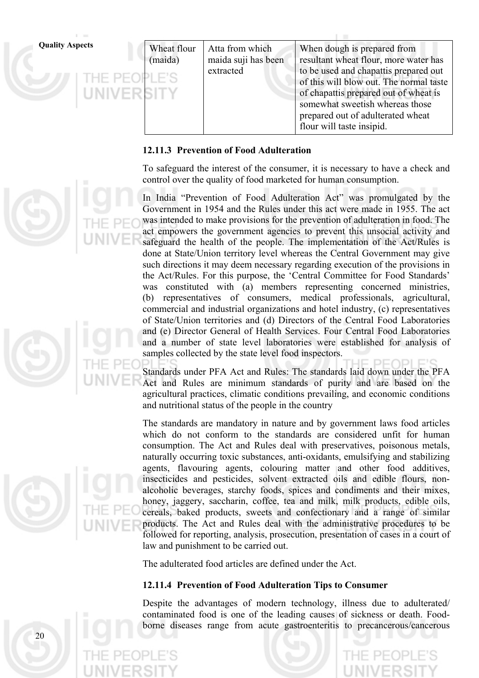| <b>Quality Aspects</b><br>THE PEOPLE'S | Wheat flour<br>(maida) | Atta from which<br>maida suji has been<br>extracted | When dough is prepared from<br>resultant wheat flour, more water has<br>to be used and chapattis prepared out<br>of this will blow out. The normal taste |
|----------------------------------------|------------------------|-----------------------------------------------------|----------------------------------------------------------------------------------------------------------------------------------------------------------|
| UNIVERSITY                             |                        |                                                     | of chapattis prepared out of wheat is<br>somewhat sweetish whereas those<br>prepared out of adulterated wheat<br>flour will taste insipid.               |

# **12.11.3 Prevention of Food Adulteration**

To safeguard the interest of the consumer, it is necessary to have a check and control over the quality of food marketed for human consumption.

In India "Prevention of Food Adulteration Act" was promulgated by the Government in 1954 and the Rules under this act were made in 1955. The act was intended to make provisions for the prevention of adulteration in food. The act empowers the government agencies to prevent this unsocial activity and safeguard the health of the people. The implementation of the Act/Rules is done at State/Union territory level whereas the Central Government may give such directions it may deem necessary regarding execution of the provisions in the Act/Rules. For this purpose, the 'Central Committee for Food Standards' was constituted with (a) members representing concerned ministries, (b) representatives of consumers, medical professionals, agricultural, commercial and industrial organizations and hotel industry, (c) representatives of State/Union territories and (d) Directors of the Central Food Laboratories and (e) Director General of Health Services. Four Central Food Laboratories and a number of state level laboratories were established for analysis of samples collected by the state level food inspectors.

Standards under PFA Act and Rules: The standards laid down under the PFA Act and Rules are minimum standards of purity and are based on the agricultural practices, climatic conditions prevailing, and economic conditions and nutritional status of the people in the country

The standards are mandatory in nature and by government laws food articles which do not conform to the standards are considered unfit for human consumption. The Act and Rules deal with preservatives, poisonous metals, naturally occurring toxic substances, anti-oxidants, emulsifying and stabilizing agents, flavouring agents, colouring matter and other food additives, insecticides and pesticides, solvent extracted oils and edible flours, nonalcoholic beverages, starchy foods, spices and condiments and their mixes, honey, jaggery, saccharin, coffee, tea and milk, milk products, edible oils, cereals, baked products, sweets and confectionary and a range of similar products. The Act and Rules deal with the administrative procedures to be followed for reporting, analysis, prosecution, presentation of cases in a court of law and punishment to be carried out.

The adulterated food articles are defined under the Act.

## **12.11.4 Prevention of Food Adulteration Tips to Consumer**

Despite the advantages of modern technology, illness due to adulterated/ contaminated food is one of the leading causes of sickness or death. Foodborne diseases range from acute gastroenteritis to precancerous/cancerous

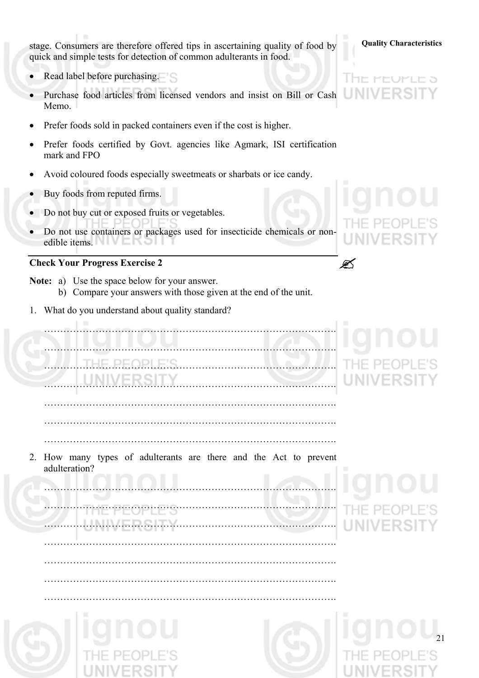stage. Consumers are therefore offered tips in ascertaining quality of food by **Quality Characteristics** quick and simple tests for detection of common adulterants in food.

- Read label before purchasing.
- Purchase food articles from licensed vendors and insist on Bill or Cash Memo.
- Prefer foods sold in packed containers even if the cost is higher.
- Prefer foods certified by Govt. agencies like Agmark, ISI certification mark and FPO
- Avoid coloured foods especially sweetmeats or sharbats or ice candy.
- Buy foods from reputed firms.
- Do not buy cut or exposed fruits or vegetables.
- Do not use containers or packages used for insecticide chemicals or nonedible items.

# **Check Your Progress Exercise 2** "

- **Note:** a) Use the space below for your answer. b) Compare your answers with those given at the end of the unit.
- 1. What do you understand about quality standard?

# ………………………………………………………………………………. ……………………………………………………………………………….

 ………………………………………………………………………………. ………………………………………………………………………………. ……………………………………………………………………………….

……………………………………………………………………………….

2. How many types of adulterants are there and the Act to prevent adulteration?

……………………………………………………………………………….

……………………………………………………………………………….

……………………………………………………………………………….

……………………………………………………………………………….

# ………………………………………………………………………………. ……………………………………………………………………………….

21

# I HE PEUPLE 5 UNIV

……………………………………………………………………………….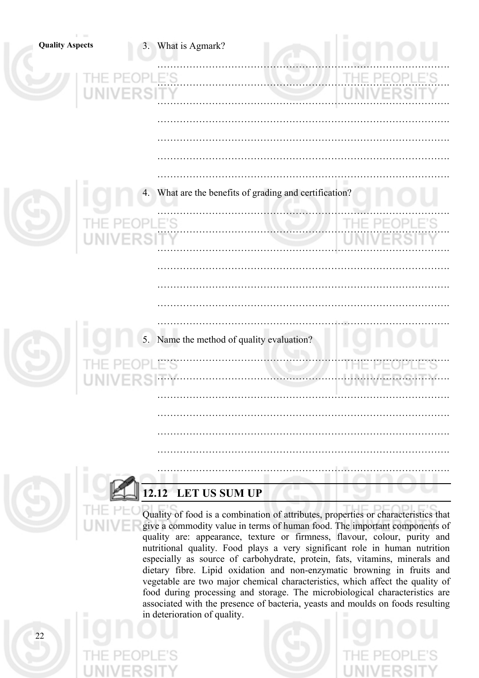| <b>Quality Aspects</b> | 3. What is Agmark?                                     |       |
|------------------------|--------------------------------------------------------|-------|
|                        | LE'S<br>UNIVERSITY                                     |       |
|                        |                                                        |       |
| ш                      | 4. What are the benefits of grading and certification? |       |
| UNIVE                  | LE'S                                                   | THE P |
|                        |                                                        |       |
|                        | 5. Name the method of quality evaluation?              |       |
|                        |                                                        |       |
|                        |                                                        |       |
|                        |                                                        |       |
|                        | 2.12 LET US SUM UP                                     |       |

Quality of food is a combination of attributes, properties or characteristics that give a commodity value in terms of human food. The important components of quality are: appearance, texture or firmness, flavour, colour, purity and nutritional quality. Food plays a very significant role in human nutrition especially as source of carbohydrate, protein, fats, vitamins, minerals and dietary fibre. Lipid oxidation and non-enzymatic browning in fruits and vegetable are two major chemical characteristics, which affect the quality of food during processing and storage. The microbiological characteristics are associated with the presence of bacteria, yeasts and moulds on foods resulting in deterioration of quality.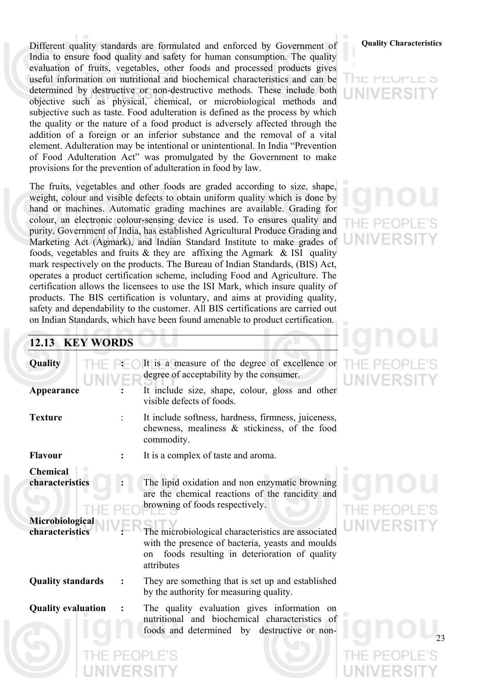Different quality standards are formulated and enforced by Government of **Quality Characteristics** India to ensure food quality and safety for human consumption. The quality evaluation of fruits, vegetables, other foods and processed products gives useful information on nutritional and biochemical characteristics and can be determined by destructive or non-destructive methods. These include both objective such as physical, chemical, or microbiological methods and subjective such as taste. Food adulteration is defined as the process by which the quality or the nature of a food product is adversely affected through the addition of a foreign or an inferior substance and the removal of a vital element. Adulteration may be intentional or unintentional. In India "Prevention of Food Adulteration Act" was promulgated by the Government to make provisions for the prevention of adulteration in food by law.

The fruits, vegetables and other foods are graded according to size, shape, weight, colour and visible defects to obtain uniform quality which is done by hand or machines. Automatic grading machines are available. Grading for colour, an electronic colour-sensing device is used. To ensures quality and purity, Government of India, has established Agricultural Produce Grading and Marketing Act (Agmark), and Indian Standard Institute to make grades of foods, vegetables and fruits  $\&$  they are affixing the Agmark  $\&$  ISI quality mark respectively on the products. The Bureau of Indian Standards, (BIS) Act, operates a product certification scheme, including Food and Agriculture. The certification allows the licensees to use the ISI Mark, which insure quality of products. The BIS certification is voluntary, and aims at providing quality, safety and dependability to the customer. All BIS certifications are carried out on Indian Standards, which have been found amenable to product certification.

# アロヒう

# **12.13 KEY WORDS**

| Quality<br>Appearance                                                    | It is a measure of the degree of excellence or<br>degree of acceptability by the consumer.<br>It include size, shape, colour, gloss and other<br>visible defects of foods.                                                                                                                                        |
|--------------------------------------------------------------------------|-------------------------------------------------------------------------------------------------------------------------------------------------------------------------------------------------------------------------------------------------------------------------------------------------------------------|
| <b>Texture</b>                                                           | It include softness, hardness, firmness, juiceness,<br>chewness, mealiness $\&$ stickiness, of the food<br>commodity.                                                                                                                                                                                             |
| <b>Flavour</b>                                                           | It is a complex of taste and aroma.                                                                                                                                                                                                                                                                               |
| <b>Chemical</b><br>characteristics<br>Microbiological<br>characteristics | The lipid oxidation and non enzymatic browning<br>are the chemical reactions of the rancidity and<br>browning of foods respectively.<br>The microbiological characteristics are associated<br>with the presence of bacteria, yeasts and moulds<br>foods resulting in deterioration of quality<br>on<br>attributes |
| <b>Quality standards</b>                                                 | They are something that is set up and established<br>by the authority for measuring quality.                                                                                                                                                                                                                      |
| <b>Quality evaluation</b>                                                | The quality evaluation gives information on<br>nutritional and biochemical characteristics of<br>foods and determined by destructive or non-                                                                                                                                                                      |



# NIVERSI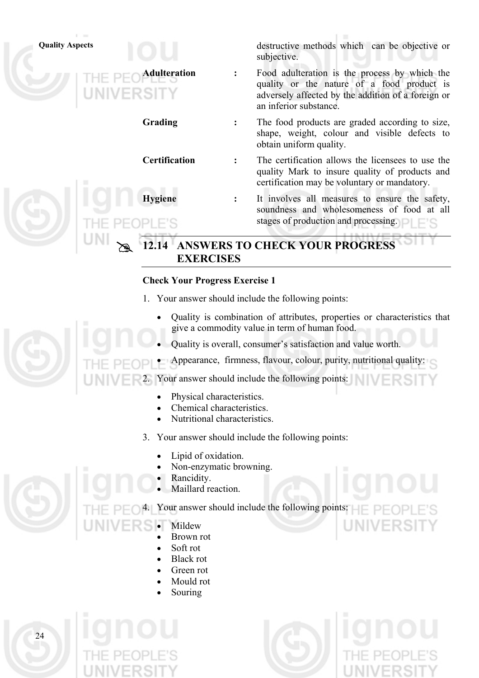

# **Check Your Progress Exercise 1**

- 1. Your answer should include the following points:
	- Quality is combination of attributes, properties or characteristics that give a commodity value in term of human food.
	- Quality is overall, consumer's satisfaction and value worth.
- Appearance, firmness, flavour, colour, purity, nutritional quality:

Your answer should include the following points:

- Physical characteristics.
- Chemical characteristics.
- Nutritional characteristics.
- 3. Your answer should include the following points:
	- Lipid of oxidation.
	- Non-enzymatic browning.
	- Rancidity.
	- Maillard reaction.

Your answer should include the following points:  $\Box$ 

- **Mildew** 
	- Brown rot
	- Soft rot
	- Black rot
	- Green rot
	- Mould rot
	- Souring

 $2<sub>4</sub>$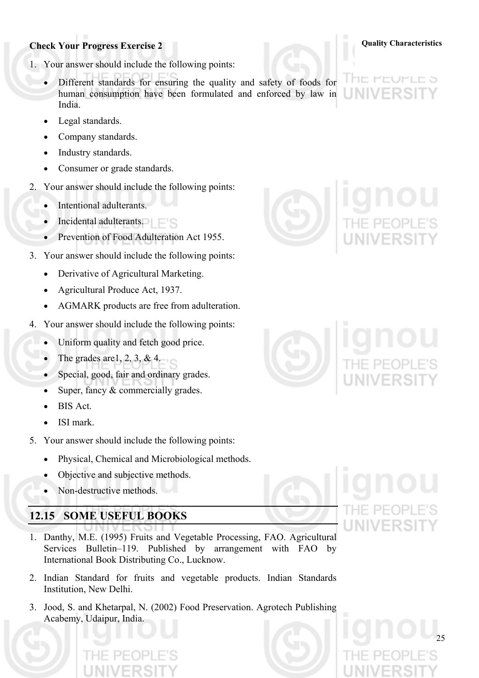# **Check Your Progress Exercise 2 Quality Characteristics**

- 1. Your answer should include the following points:
	- Different standards for ensuring the quality and safety of foods for human consumption have been formulated and enforced by law in India.
	- Legal standards.
	- Company standards.
	- Industry standards.
	- Consumer or grade standards.
- 2. Your answer should include the following points:
	- Intentional adulterants.
	- **Incidental adulterants.**
	- Prevention of Food Adulteration Act 1955.
- 3. Your answer should include the following points:
	- Derivative of Agricultural Marketing.
	- Agricultural Produce Act, 1937.
	- AGMARK products are free from adulteration.
- 4. Your answer should include the following points:
	- Uniform quality and fetch good price.
	- The grades are  $1, 2, 3, \& 4$ .
	- Special, good, fair and ordinary grades.
	- Super, fancy  $&$  commercially grades.
	- BIS Act.
	- ISI mark.
- 5. Your answer should include the following points:
	- Physical, Chemical and Microbiological methods.
	- Objective and subjective methods.
	- Non-destructive methods.

# **12.15 SOME USEFUL BOOKS**

- 1. Danthy, M.E. (1995) Fruits and Vegetable Processing, FAO. Agricultural Services Bulletin–119. Published by arrangement with FAO by International Book Distributing Co., Lucknow.
- 2. Indian Standard for fruits and vegetable products. Indian Standards Institution, New Delhi.
- 3. Jood, S. and Khetarpal, N. (2002) Food Preservation. Agrotech Publishing Acabemy, Udaipur, India.







# The Pet JF LE Ə Ш